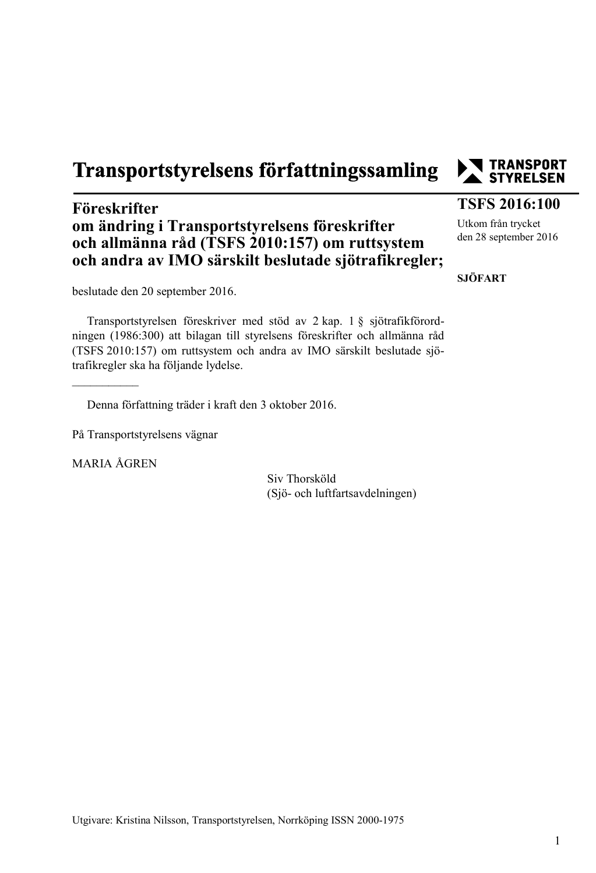# Transportstyrelsens författningssamling

### **Föreskrifter om ändring i Transportstyrelsens föreskrifter och allmänna råd (TSFS 2010:157) om ruttsystem och andra av IMO särskilt beslutade sjötrafikregler;**

beslutade den 20 september 2016.

Transportstyrelsen föreskriver med stöd av 2 kap. 1 § sjötrafikförordningen (1986:300) att bilagan till styrelsens föreskrifter och allmänna råd (TSFS 2010:157) om ruttsystem och andra av IMO särskilt beslutade sjötrafikregler ska ha följande lydelse.

Denna författning träder i kraft den 3 oktober 2016.

På Transportstyrelsens vägnar

MARIA ÅGREN

 $\overline{\phantom{a}}$ 

Siv Thorsköld (Sjö- och luftfartsavdelningen)



#### **TSFS 2016:100**

Utkom från trycket den 28 september 2016

**SJÖFART**